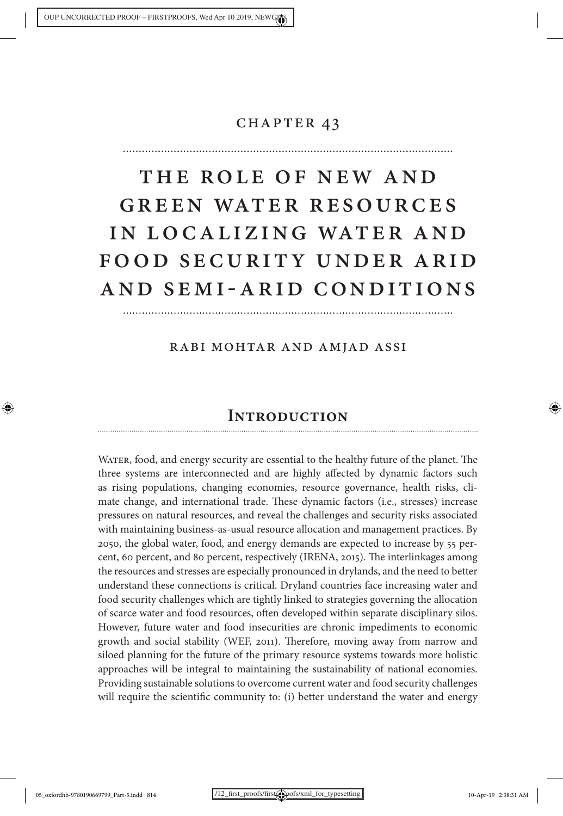# CHAPTER 43

# The Role of New and Green Water Resources in Lo calizing Water and FOOD SECURITY UNDER ARID and SEMI-ARID Conditions

Rabi Mohtar and Amjad Assi

# **Introduction**

Water, food, and energy security are essential to the healthy future of the planet. The three systems are interconnected and are highly affected by dynamic factors such as rising populations, changing economies, resource governance, health risks, climate change, and international trade. These dynamic factors (i.e., stresses) increase pressures on natural resources, and reveal the challenges and security risks associated with maintaining business-as-usual resource allocation and management practices. By 2050, the global water, food, and energy demands are expected to increase by 55 percent, 60 percent, and 80 percent, respectively (IRENA, 2015). The interlinkages among the resources and stresses are especially pronounced in drylands, and the need to better understand these connections is critical. Dryland countries face increasing water and food security challenges which are tightly linked to strategies governing the allocation of scarce water and food resources, often developed within separate disciplinary silos. However, future water and food insecurities are chronic impediments to economic growth and social stability (WEF, 2011). Therefore, moving away from narrow and siloed planning for the future of the primary resource systems towards more holistic approaches will be integral to maintaining the sustainability of national economies. Providing sustainable solutions to overcome current water and food security challenges will require the scientific community to: (i) better understand the water and energy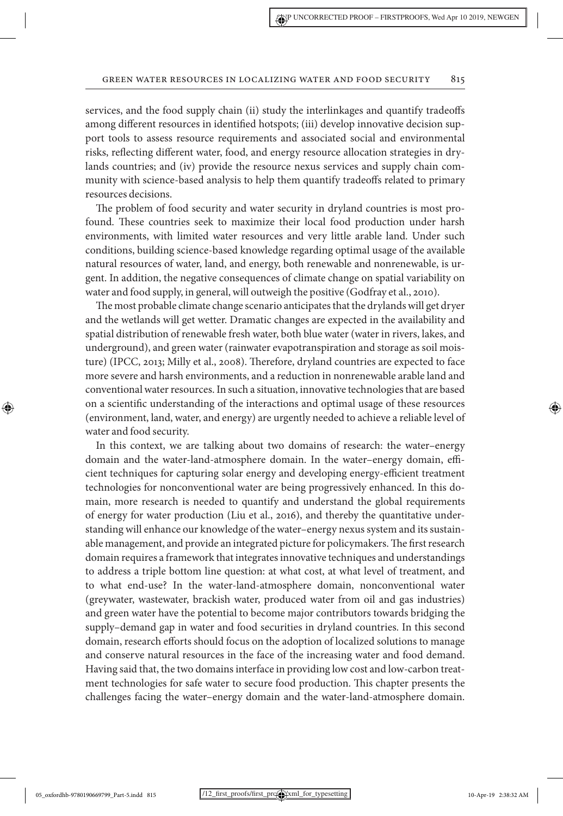services, and the food supply chain (ii) study the interlinkages and quantify tradeoffs among different resources in identified hotspots; (iii) develop innovative decision support tools to assess resource requirements and associated social and environmental risks, reflecting different water, food, and energy resource allocation strategies in drylands countries; and (iv) provide the resource nexus services and supply chain community with science-based analysis to help them quantify tradeoffs related to primary resources decisions.

The problem of food security and water security in dryland countries is most profound. These countries seek to maximize their local food production under harsh environments, with limited water resources and very little arable land. Under such conditions, building science-based knowledge regarding optimal usage of the available natural resources of water, land, and energy, both renewable and nonrenewable, is urgent. In addition, the negative consequences of climate change on spatial variability on water and food supply, in general, will outweigh the positive (Godfray et al., 2010).

The most probable climate change scenario anticipates that the drylands will get dryer and the wetlands will get wetter. Dramatic changes are expected in the availability and spatial distribution of renewable fresh water, both blue water (water in rivers, lakes, and underground), and green water (rainwater evapotranspiration and storage as soil moisture) (IPCC, 2013; Milly et al., 2008). Therefore, dryland countries are expected to face more severe and harsh environments, and a reduction in nonrenewable arable land and conventional water resources. In such a situation, innovative technologies that are based on a scientific understanding of the interactions and optimal usage of these resources (environment, land, water, and energy) are urgently needed to achieve a reliable level of water and food security.

In this context, we are talking about two domains of research: the water–energy domain and the water-land-atmosphere domain. In the water–energy domain, efficient techniques for capturing solar energy and developing energy-efficient treatment technologies for nonconventional water are being progressively enhanced. In this domain, more research is needed to quantify and understand the global requirements of energy for water production (Liu et al., 2016), and thereby the quantitative understanding will enhance our knowledge of the water–energy nexus system and its sustainable management, and provide an integrated picture for policymakers. The first research domain requires a framework that integrates innovative techniques and understandings to address a triple bottom line question: at what cost, at what level of treatment, and to what end-use? In the water-land-atmosphere domain, nonconventional water (greywater, wastewater, brackish water, produced water from oil and gas industries) and green water have the potential to become major contributors towards bridging the supply–demand gap in water and food securities in dryland countries. In this second domain, research efforts should focus on the adoption of localized solutions to manage and conserve natural resources in the face of the increasing water and food demand. Having said that, the two domains interface in providing low cost and low-carbon treatment technologies for safe water to secure food production. This chapter presents the challenges facing the water–energy domain and the water-land-atmosphere domain.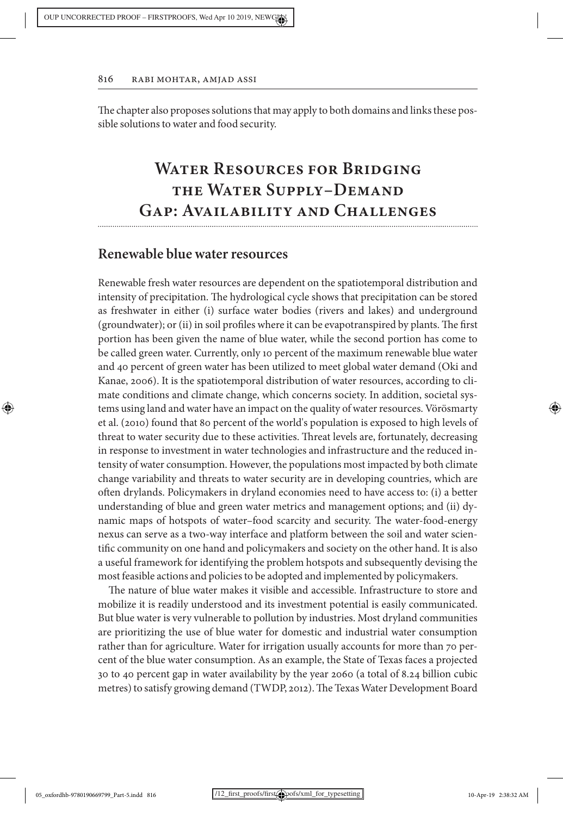The chapter also proposes solutions that may apply to both domains and links these possible solutions to water and food security.

# **WATER RESOURCES FOR BRIDGING the Water Supply–Demand Gap: Availability and Challenges**

# **Renewable blue water resources**

Renewable fresh water resources are dependent on the spatiotemporal distribution and intensity of precipitation. The hydrological cycle shows that precipitation can be stored as freshwater in either (i) surface water bodies (rivers and lakes) and underground (groundwater); or (ii) in soil profiles where it can be evapotranspired by plants. The first portion has been given the name of blue water, while the second portion has come to be called green water. Currently, only 10 percent of the maximum renewable blue water and 40 percent of green water has been utilized to meet global water demand (Oki and Kanae, 2006). It is the spatiotemporal distribution of water resources, according to climate conditions and climate change, which concerns society. In addition, societal systems using land and water have an impact on the quality of water resources. Vörösmarty et al. (2010) found that 80 percent of the world's population is exposed to high levels of threat to water security due to these activities. Threat levels are, fortunately, decreasing in response to investment in water technologies and infrastructure and the reduced intensity of water consumption. However, the populations most impacted by both climate change variability and threats to water security are in developing countries, which are often drylands. Policymakers in dryland economies need to have access to: (i) a better understanding of blue and green water metrics and management options; and (ii) dynamic maps of hotspots of water–food scarcity and security. The water-food-energy nexus can serve as a two-way interface and platform between the soil and water scientific community on one hand and policymakers and society on the other hand. It is also a useful framework for identifying the problem hotspots and subsequently devising the most feasible actions and policies to be adopted and implemented by policymakers.

The nature of blue water makes it visible and accessible. Infrastructure to store and mobilize it is readily understood and its investment potential is easily communicated. But blue water is very vulnerable to pollution by industries. Most dryland communities are prioritizing the use of blue water for domestic and industrial water consumption rather than for agriculture. Water for irrigation usually accounts for more than 70 percent of the blue water consumption. As an example, the State of Texas faces a projected 30 to 40 percent gap in water availability by the year 2060 (a total of 8.24 billion cubic metres) to satisfy growing demand (TWDP, 2012). The Texas Water Development Board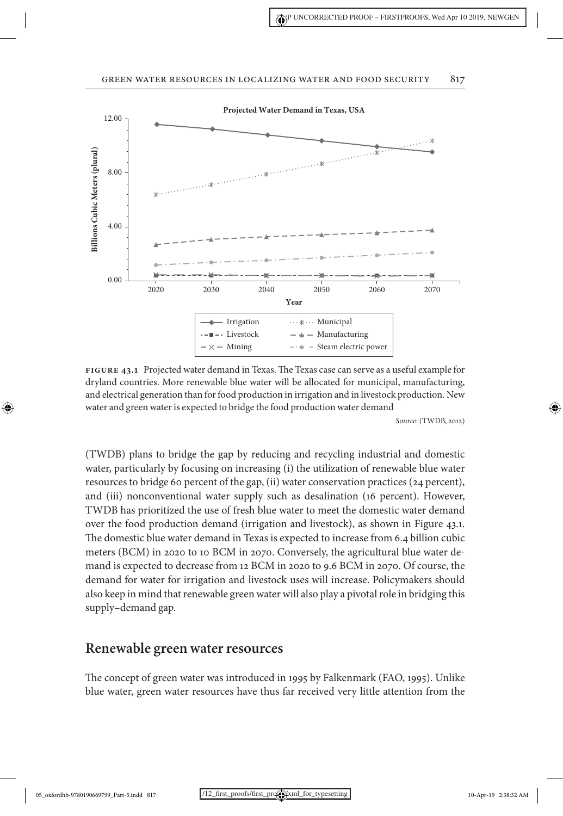

**Figure 43.1** Projected water demand in Texas. The Texas case can serve as a useful example for dryland countries. More renewable blue water will be allocated for municipal, manufacturing, and electrical generation than for food production in irrigation and in livestock production. New water and green water is expected to bridge the food production water demand

*Source*: (TWDB, 2012)

⊕

(TWDB) plans to bridge the gap by reducing and recycling industrial and domestic water, particularly by focusing on increasing (i) the utilization of renewable blue water resources to bridge 60 percent of the gap, (ii) water conservation practices (24 percent), and (iii) nonconventional water supply such as desalination (16 percent). However, TWDB has prioritized the use of fresh blue water to meet the domestic water demand over the food production demand (irrigation and livestock), as shown in Figure 43.1. The domestic blue water demand in Texas is expected to increase from 6.4 billion cubic meters (BCM) in 2020 to 10 BCM in 2070. Conversely, the agricultural blue water demand is expected to decrease from 12 BCM in 2020 to 9.6 BCM in 2070. Of course, the demand for water for irrigation and livestock uses will increase. Policymakers should also keep in mind that renewable green water will also play a pivotal role in bridging this supply–demand gap.

# **Renewable green water resources**

The concept of green water was introduced in 1995 by Falkenmark (FAO, 1995). Unlike blue water, green water resources have thus far received very little attention from the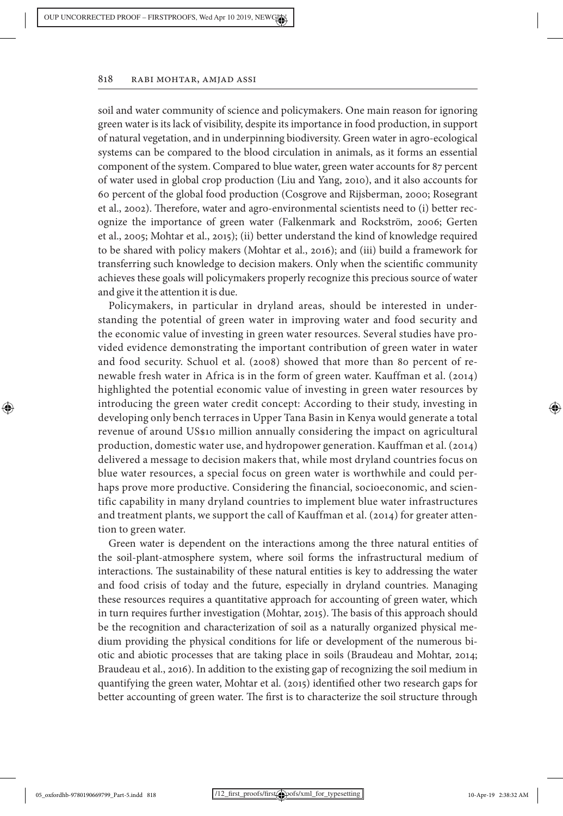soil and water community of science and policymakers. One main reason for ignoring green water is its lack of visibility, despite its importance in food production, in support of natural vegetation, and in underpinning biodiversity. Green water in agro-ecological systems can be compared to the blood circulation in animals, as it forms an essential component of the system. Compared to blue water, green water accounts for 87 percent of water used in global crop production (Liu and Yang, 2010), and it also accounts for 60 percent of the global food production (Cosgrove and Rijsberman, 2000; Rosegrant et al., 2002). Therefore, water and agro-environmental scientists need to (i) better recognize the importance of green water (Falkenmark and Rockström, 2006; Gerten et al., 2005; Mohtar et al., 2015); (ii) better understand the kind of knowledge required to be shared with policy makers (Mohtar et al., 2016); and (iii) build a framework for transferring such knowledge to decision makers. Only when the scientific community achieves these goals will policymakers properly recognize this precious source of water and give it the attention it is due.

Policymakers, in particular in dryland areas, should be interested in understanding the potential of green water in improving water and food security and the economic value of investing in green water resources. Several studies have provided evidence demonstrating the important contribution of green water in water and food security. Schuol et al. (2008) showed that more than 80 percent of renewable fresh water in Africa is in the form of green water. Kauffman et al. (2014) highlighted the potential economic value of investing in green water resources by introducing the green water credit concept: According to their study, investing in developing only bench terraces in Upper Tana Basin in Kenya would generate a total revenue of around US\$10 million annually considering the impact on agricultural production, domestic water use, and hydropower generation. Kauffman et al. (2014) delivered a message to decision makers that, while most dryland countries focus on blue water resources, a special focus on green water is worthwhile and could perhaps prove more productive. Considering the financial, socioeconomic, and scientific capability in many dryland countries to implement blue water infrastructures and treatment plants, we support the call of Kauffman et al. (2014) for greater attention to green water.

Green water is dependent on the interactions among the three natural entities of the soil-plant-atmosphere system, where soil forms the infrastructural medium of interactions. The sustainability of these natural entities is key to addressing the water and food crisis of today and the future, especially in dryland countries. Managing these resources requires a quantitative approach for accounting of green water, which in turn requires further investigation (Mohtar, 2015). The basis of this approach should be the recognition and characterization of soil as a naturally organized physical medium providing the physical conditions for life or development of the numerous biotic and abiotic processes that are taking place in soils (Braudeau and Mohtar, 2014; Braudeau et al., 2016). In addition to the existing gap of recognizing the soil medium in quantifying the green water, Mohtar et al. (2015) identified other two research gaps for better accounting of green water. The first is to characterize the soil structure through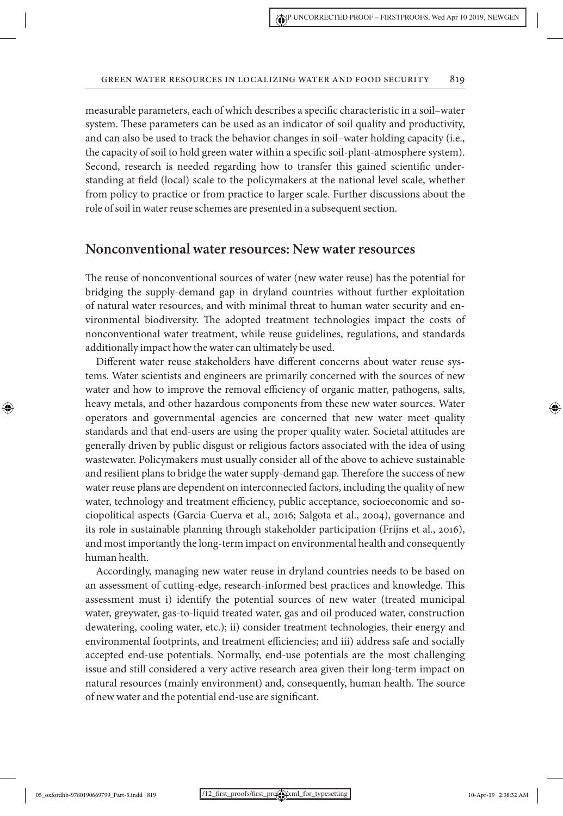measurable parameters, each of which describes a specific characteristic in a soil–water system. These parameters can be used as an indicator of soil quality and productivity, and can also be used to track the behavior changes in soil–water holding capacity (i.e., the capacity of soil to hold green water within a specific soil-plant-atmosphere system). Second, research is needed regarding how to transfer this gained scientific understanding at field (local) scale to the policymakers at the national level scale, whether from policy to practice or from practice to larger scale. Further discussions about the role of soil in water reuse schemes are presented in a subsequent section.

## **Nonconventional water resources: New water resources**

The reuse of nonconventional sources of water (new water reuse) has the potential for bridging the supply-demand gap in dryland countries without further exploitation of natural water resources, and with minimal threat to human water security and environmental biodiversity. The adopted treatment technologies impact the costs of nonconventional water treatment, while reuse guidelines, regulations, and standards additionally impact how the water can ultimately be used.

Different water reuse stakeholders have different concerns about water reuse systems. Water scientists and engineers are primarily concerned with the sources of new water and how to improve the removal efficiency of organic matter, pathogens, salts, heavy metals, and other hazardous components from these new water sources. Water operators and governmental agencies are concerned that new water meet quality standards and that end-users are using the proper quality water. Societal attitudes are generally driven by public disgust or religious factors associated with the idea of using wastewater. Policymakers must usually consider all of the above to achieve sustainable and resilient plans to bridge the water supply-demand gap. Therefore the success of new water reuse plans are dependent on interconnected factors, including the quality of new water, technology and treatment efficiency, public acceptance, socioeconomic and sociopolitical aspects (Garcia-Cuerva et al., 2016; Salgota et al., 2004), governance and its role in sustainable planning through stakeholder participation (Frijns et al., 2016), and most importantly the long-term impact on environmental health and consequently human health.

Accordingly, managing new water reuse in dryland countries needs to be based on an assessment of cutting-edge, research-informed best practices and knowledge. This assessment must i) identify the potential sources of new water (treated municipal water, greywater, gas-to-liquid treated water, gas and oil produced water, construction dewatering, cooling water, etc.); ii) consider treatment technologies, their energy and environmental footprints, and treatment efficiencies; and iii) address safe and socially accepted end-use potentials. Normally, end-use potentials are the most challenging issue and still considered a very active research area given their long-term impact on natural resources (mainly environment) and, consequently, human health. The source of new water and the potential end-use are significant.

⊕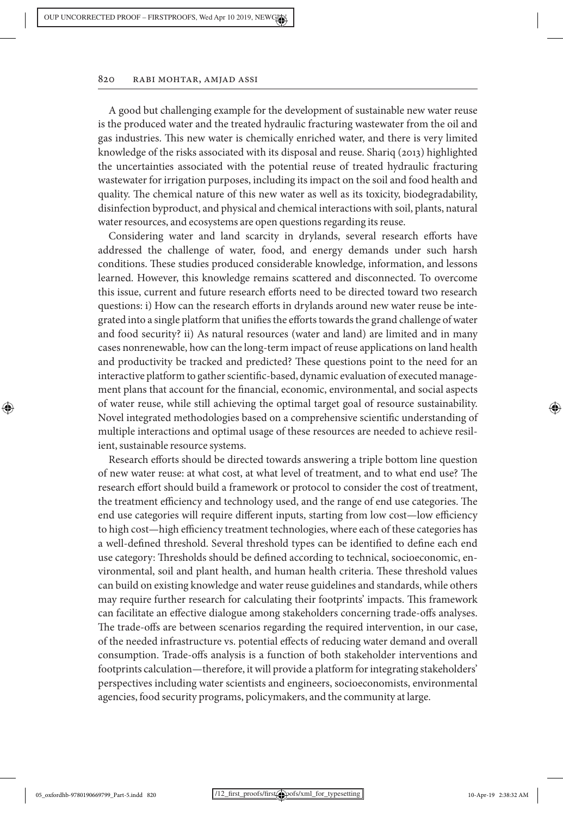A good but challenging example for the development of sustainable new water reuse is the produced water and the treated hydraulic fracturing wastewater from the oil and gas industries. This new water is chemically enriched water, and there is very limited knowledge of the risks associated with its disposal and reuse. Shariq (2013) highlighted the uncertainties associated with the potential reuse of treated hydraulic fracturing wastewater for irrigation purposes, including its impact on the soil and food health and quality. The chemical nature of this new water as well as its toxicity, biodegradability, disinfection byproduct, and physical and chemical interactions with soil, plants, natural water resources, and ecosystems are open questions regarding its reuse.

Considering water and land scarcity in drylands, several research efforts have addressed the challenge of water, food, and energy demands under such harsh conditions. These studies produced considerable knowledge, information, and lessons learned. However, this knowledge remains scattered and disconnected. To overcome this issue, current and future research efforts need to be directed toward two research questions: i) How can the research efforts in drylands around new water reuse be integrated into a single platform that unifies the efforts towards the grand challenge of water and food security? ii) As natural resources (water and land) are limited and in many cases nonrenewable, how can the long-term impact of reuse applications on land health and productivity be tracked and predicted? These questions point to the need for an interactive platform to gather scientific-based, dynamic evaluation of executed management plans that account for the financial, economic, environmental, and social aspects of water reuse, while still achieving the optimal target goal of resource sustainability. Novel integrated methodologies based on a comprehensive scientific understanding of multiple interactions and optimal usage of these resources are needed to achieve resilient, sustainable resource systems.

Research efforts should be directed towards answering a triple bottom line question of new water reuse: at what cost, at what level of treatment, and to what end use? The research effort should build a framework or protocol to consider the cost of treatment, the treatment efficiency and technology used, and the range of end use categories. The end use categories will require different inputs, starting from low cost—low efficiency to high cost—high efficiency treatment technologies, where each of these categories has a well-defined threshold. Several threshold types can be identified to define each end use category: Thresholds should be defined according to technical, socioeconomic, environmental, soil and plant health, and human health criteria. These threshold values can build on existing knowledge and water reuse guidelines and standards, while others may require further research for calculating their footprints' impacts. This framework can facilitate an effective dialogue among stakeholders concerning trade-offs analyses. The trade-offs are between scenarios regarding the required intervention, in our case, of the needed infrastructure vs. potential effects of reducing water demand and overall consumption. Trade-offs analysis is a function of both stakeholder interventions and footprints calculation—therefore, it will provide a platform for integrating stakeholders' perspectives including water scientists and engineers, socioeconomists, environmental agencies, food security programs, policymakers, and the community at large.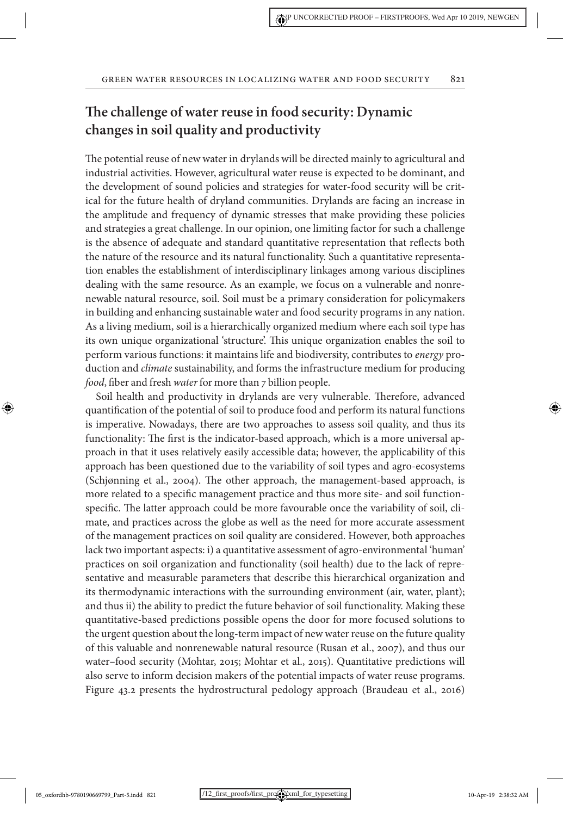# **The challenge of water reuse in food security: Dynamic changes in soil quality and productivity**

The potential reuse of new water in drylands will be directed mainly to agricultural and industrial activities. However, agricultural water reuse is expected to be dominant, and the development of sound policies and strategies for water-food security will be critical for the future health of dryland communities. Drylands are facing an increase in the amplitude and frequency of dynamic stresses that make providing these policies and strategies a great challenge. In our opinion, one limiting factor for such a challenge is the absence of adequate and standard quantitative representation that reflects both the nature of the resource and its natural functionality. Such a quantitative representation enables the establishment of interdisciplinary linkages among various disciplines dealing with the same resource. As an example, we focus on a vulnerable and nonrenewable natural resource, soil. Soil must be a primary consideration for policymakers in building and enhancing sustainable water and food security programs in any nation. As a living medium, soil is a hierarchically organized medium where each soil type has its own unique organizational 'structure'. This unique organization enables the soil to perform various functions: it maintains life and biodiversity, contributes to *energy* production and *climate* sustainability, and forms the infrastructure medium for producing *food*, fiber and fresh *water* for more than 7 billion people.

Soil health and productivity in drylands are very vulnerable. Therefore, advanced quantification of the potential of soil to produce food and perform its natural functions is imperative. Nowadays, there are two approaches to assess soil quality, and thus its functionality: The first is the indicator-based approach, which is a more universal approach in that it uses relatively easily accessible data; however, the applicability of this approach has been questioned due to the variability of soil types and agro-ecosystems (Schjønning et al., 2004). The other approach, the management-based approach, is more related to a specific management practice and thus more site- and soil functionspecific. The latter approach could be more favourable once the variability of soil, climate, and practices across the globe as well as the need for more accurate assessment of the management practices on soil quality are considered. However, both approaches lack two important aspects: i) a quantitative assessment of agro-environmental 'human' practices on soil organization and functionality (soil health) due to the lack of representative and measurable parameters that describe this hierarchical organization and its thermodynamic interactions with the surrounding environment (air, water, plant); and thus ii) the ability to predict the future behavior of soil functionality. Making these quantitative-based predictions possible opens the door for more focused solutions to the urgent question about the long-term impact of new water reuse on the future quality of this valuable and nonrenewable natural resource (Rusan et al., 2007), and thus our water–food security (Mohtar, 2015; Mohtar et al., 2015). Quantitative predictions will also serve to inform decision makers of the potential impacts of water reuse programs. Figure 43.2 presents the hydrostructural pedology approach (Braudeau et al., 2016)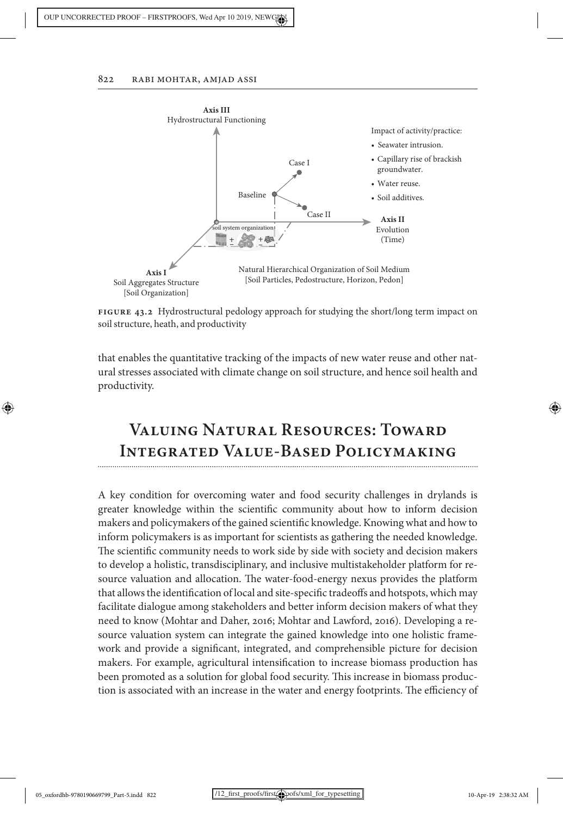

**Figure 43.2** Hydrostructural pedology approach for studying the short/long term impact on soil structure, heath, and productivity

that enables the quantitative tracking of the impacts of new water reuse and other natural stresses associated with climate change on soil structure, and hence soil health and productivity.

# **Valuing Natural Resources: Toward Integrated Value-Based Policymaking**

A key condition for overcoming water and food security challenges in drylands is greater knowledge within the scientific community about how to inform decision makers and policymakers of the gained scientific knowledge. Knowing what and how to inform policymakers is as important for scientists as gathering the needed knowledge. The scientific community needs to work side by side with society and decision makers to develop a holistic, transdisciplinary, and inclusive multistakeholder platform for resource valuation and allocation. The water-food-energy nexus provides the platform that allows the identification of local and site-specific tradeoffs and hotspots, which may facilitate dialogue among stakeholders and better inform decision makers of what they need to know (Mohtar and Daher, 2016; Mohtar and Lawford, 2016). Developing a resource valuation system can integrate the gained knowledge into one holistic framework and provide a significant, integrated, and comprehensible picture for decision makers. For example, agricultural intensification to increase biomass production has been promoted as a solution for global food security. This increase in biomass production is associated with an increase in the water and energy footprints. The efficiency of

♠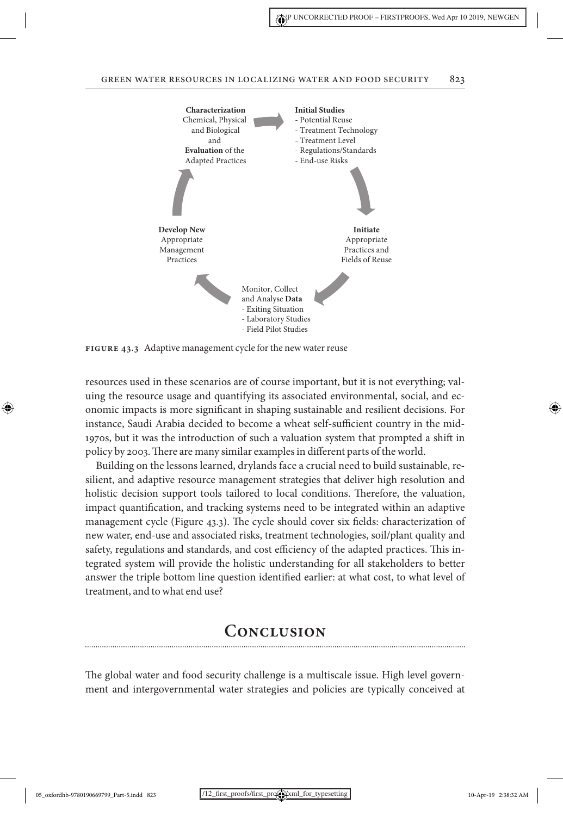

FIGURE 43.3 Adaptive management cycle for the new water reuse

resources used in these scenarios are of course important, but it is not everything; valuing the resource usage and quantifying its associated environmental, social, and economic impacts is more significant in shaping sustainable and resilient decisions. For instance, Saudi Arabia decided to become a wheat self-sufficient country in the mid-1970s, but it was the introduction of such a valuation system that prompted a shift in policy by 2003. There are many similar examples in different parts of theworld.

Building on the lessons learned, drylands face a crucial need to build sustainable, resilient, and adaptive resource management strategies that deliver high resolution and holistic decision support tools tailored to local conditions. Therefore, the valuation, impact quantification, and tracking systems need to be integrated within an adaptive management cycle (Figure 43.3). The cycle should cover six fields: characterization of new water, end-use and associated risks, treatment technologies, soil/plant quality and safety, regulations and standards, and cost efficiency of the adapted practices. This integrated system will provide the holistic understanding for all stakeholders to better answer the triple bottom line question identified earlier: at what cost, to what level of treatment, and to what end use?

# **Conclusion**

The global water and food security challenge is a multiscale issue. High level government and intergovernmental water strategies and policies are typically conceived at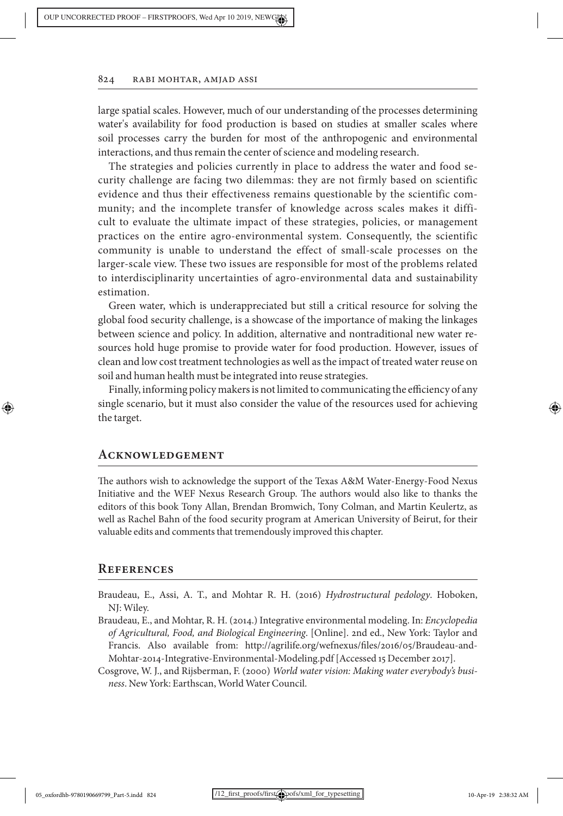large spatial scales. However, much of our understanding of the processes determining water's availability for food production is based on studies at smaller scales where soil processes carry the burden for most of the anthropogenic and environmental interactions, and thus remain the center of science and modeling research.

The strategies and policies currently in place to address the water and food security challenge are facing two dilemmas: they are not firmly based on scientific evidence and thus their effectiveness remains questionable by the scientific community; and the incomplete transfer of knowledge across scales makes it difficult to evaluate the ultimate impact of these strategies, policies, or management practices on the entire agro-environmental system. Consequently, the scientific community is unable to understand the effect of small-scale processes on the larger-scale view. These two issues are responsible for most of the problems related to interdisciplinarity uncertainties of agro-environmental data and sustainability estimation.

Green water, which is underappreciated but still a critical resource for solving the global food security challenge, is a showcase of the importance of making the linkages between science and policy. In addition, alternative and nontraditional new water resources hold huge promise to provide water for food production. However, issues of clean and low cost treatment technologies as well as the impact of treated water reuse on soil and human health must be integrated into reuse strategies.

Finally, informing policy makers is not limited to communicating the efficiency of any single scenario, but it must also consider the value of the resources used for achieving the target.

### **Acknowledgement**

The authors wish to acknowledge the support of the Texas A&M Water-Energy-Food Nexus Initiative and the WEF Nexus Research Group. The authors would also like to thanks the editors of this book Tony Allan, Brendan Bromwich, Tony Colman, and Martin Keulertz, as well as Rachel Bahn of the food security program at American University of Beirut, for their valuable edits and comments that tremendously improved this chapter.

### **References**

- Braudeau, E., Assi, A. T., and Mohtar R. H. (2016) *Hydrostructural pedology*. Hoboken, NJ: Wiley.
- Braudeau, E., and Mohtar, R. H. (2014.) Integrative environmental modeling. In: *Encyclopedia of Agricultural, Food, and Biological Engineering*. [Online]. 2nd ed., New York: Taylor and Francis. Also available from: http://agrilife.org/wefnexus/files/2016/05/Braudeau-and-Mohtar-2014-Integrative-Environmental-Modeling.pdf [Accessed 15 December 2017].
- Cosgrove, W. J., and Rijsberman, F. (2000) *World water vision: Making water everybody's business*. New York: Earthscan, World Water Council.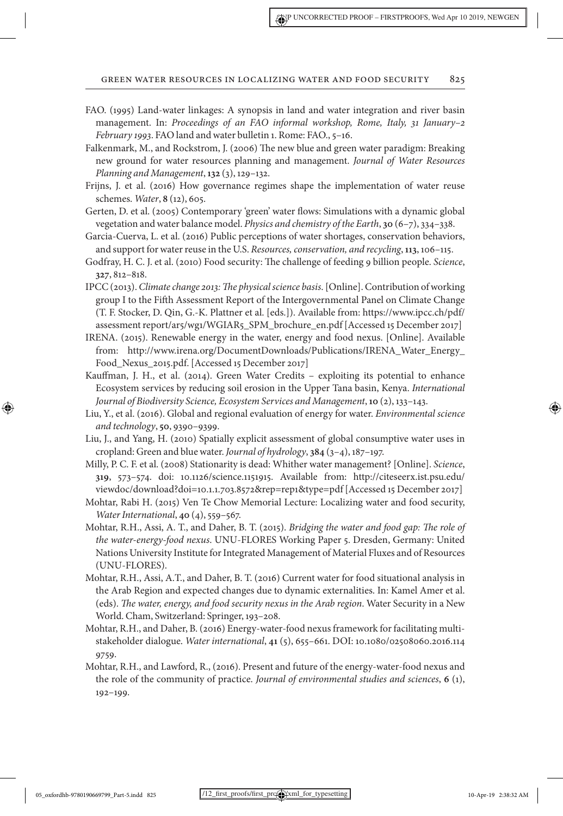- FAO. (1995) Land-water linkages: A synopsis in land and water integration and river basin management. In: *Proceedings of an FAO informal workshop, Rome, Italy, 31 January–2 February 1993*. FAO land and water bulletin 1. Rome: FAO., 5–16.
- Falkenmark, M., and Rockstrom, J. (2006) The new blue and green water paradigm: Breaking new ground for water resources planning and management. *Journal of Water Resources Planning and Management*, **132** (3), 129–132.
- Frijns, J. et al. (2016) How governance regimes shape the implementation of water reuse schemes. *Water*, **8** (12), 605.
- Gerten, D. et al. (2005) Contemporary 'green' water flows: Simulations with a dynamic global vegetation and water balance model. *Physics and chemistry of the Earth*, **30** (6–7), 334–338.
- Garcia-Cuerva, L. et al. (2016) Public perceptions of water shortages, conservation behaviors, and support for water reuse in the U.S. *Resources, conservation, and recycling*, **113**, 106–115.
- Godfray, H. C. J. et al. (2010) Food security: The challenge of feeding 9 billion people. *Science*, **327**, 812–818.
- IPCC (2013). *Climate change 2013: The physical science basis*. [Online]. Contribution of working group I to the Fifth Assessment Report of the Intergovernmental Panel on Climate Change (T. F. Stocker, D. Qin, G.-K. Plattner et al. [eds.]). Available from: https://www.ipcc.ch/pdf/ assessment report/ar5/wg1/WGIAR5\_SPM\_brochure\_en.pdf [Accessed 15 December 2017]
- IRENA. (2015). Renewable energy in the water, energy and food nexus. [Online]. Available from: http://www.irena.org/DocumentDownloads/Publications/IRENA\_Water\_Energy\_ Food\_Nexus\_2015.pdf. [Accessed 15 December 2017]
- Kauffman, J. H., et al. (2014). Green Water Credits exploiting its potential to enhance Ecosystem services by reducing soil erosion in the Upper Tana basin, Kenya. *International Journal of Biodiversity Science, Ecosystem Services and Management*, **10** (2), 133–143.
- Liu, Y., et al. (2016). Global and regional evaluation of energy for water. *Environmental science and technology*, **50**, 9390–9399.
- Liu, J., and Yang, H. (2010) Spatially explicit assessment of global consumptive water uses in cropland: Green and blue water. *Journal of hydrology*, **384** (3–4), 187–197.
- Milly, P. C. F. et al. (2008) Stationarity is dead: Whither water management? [Online]. *Science*, **319**, 573–574. doi: 10.1126/science.1151915. Available from: http://citeseerx.ist.psu.edu/ viewdoc/download?doi=10.1.1.703.8572&rep=rep1&type=pdf [Accessed 15 December 2017]
- Mohtar, Rabi H. (2015) Ven Te Chow Memorial Lecture: Localizing water and food security, *Water International*, **40** (4), 559–567.
- Mohtar, R.H., Assi, A. T., and Daher, B. T. (2015). *Bridging the water and food gap: The role of the water-energy-food nexus*. UNU-FLORES Working Paper 5. Dresden, Germany: United Nations University Institute for Integrated Management of Material Fluxes and of Resources (UNU-FLORES).
- Mohtar, R.H., Assi, A.T., and Daher, B. T. (2016) Current water for food situational analysis in the Arab Region and expected changes due to dynamic externalities. In: Kamel Amer et al. (eds). *The water, energy, and food security nexus in the Arab region*. Water Security in a New World. Cham, Switzerland: Springer, 193–208.
- Mohtar, R.H., and Daher, B. (2016) Energy-water-food nexus framework for facilitating multistakeholder dialogue. *Water international*, **41** (5), 655–661. DOI: 10.1080/02508060.2016.114 9759.
- Mohtar, R.H., and Lawford, R., (2016). Present and future of the energy-water-food nexus and the role of the community of practice. *Journal of environmental studies and sciences*, **6** (1), 192–199.